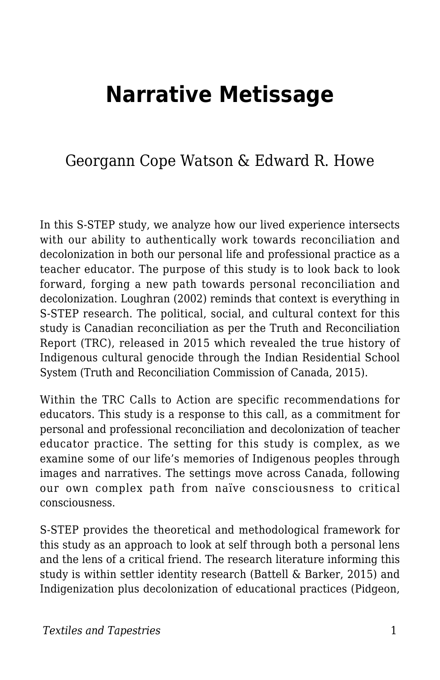# **Narrative Metissage**

## Georgann Cope Watson & Edward R. Howe

In this S-STEP study, we analyze how our lived experience intersects with our ability to authentically work towards reconciliation and decolonization in both our personal life and professional practice as a teacher educator. The purpose of this study is to look back to look forward, forging a new path towards personal reconciliation and decolonization. Loughran (2002) reminds that context is everything in S-STEP research. The political, social, and cultural context for this study is Canadian reconciliation as per the Truth and Reconciliation Report (TRC), released in 2015 which revealed the true history of Indigenous cultural genocide through the Indian Residential School System (Truth and Reconciliation Commission of Canada, 2015).

Within the TRC Calls to Action are specific recommendations for educators. This study is a response to this call, as a commitment for personal and professional reconciliation and decolonization of teacher educator practice. The setting for this study is complex, as we examine some of our life's memories of Indigenous peoples through images and narratives. The settings move across Canada, following our own complex path from naïve consciousness to critical consciousness.

S-STEP provides the theoretical and methodological framework for this study as an approach to look at self through both a personal lens and the lens of a critical friend. The research literature informing this study is within settler identity research (Battell & Barker, 2015) and Indigenization plus decolonization of educational practices (Pidgeon,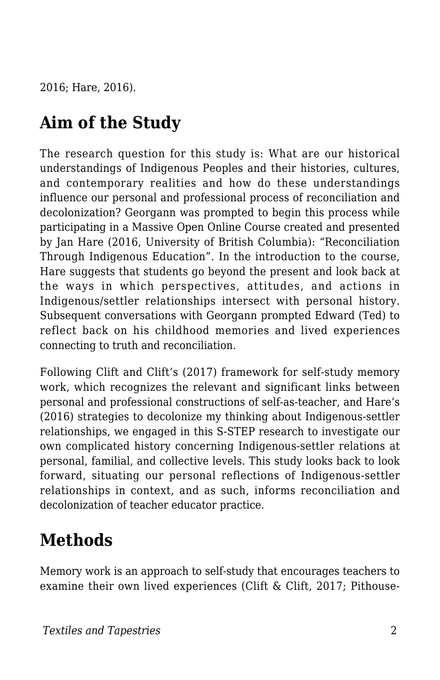2016; Hare, 2016).

## **Aim of the Study**

The research question for this study is: What are our historical understandings of Indigenous Peoples and their histories, cultures, and contemporary realities and how do these understandings influence our personal and professional process of reconciliation and decolonization? Georgann was prompted to begin this process while participating in a Massive Open Online Course created and presented by Jan Hare (2016, University of British Columbia): "Reconciliation Through Indigenous Education". In the introduction to the course, Hare suggests that students go beyond the present and look back at the ways in which perspectives, attitudes, and actions in Indigenous/settler relationships intersect with personal history. Subsequent conversations with Georgann prompted Edward (Ted) to reflect back on his childhood memories and lived experiences connecting to truth and reconciliation.

Following Clift and Clift's (2017) framework for self-study memory work, which recognizes the relevant and significant links between personal and professional constructions of self-as-teacher, and Hare's (2016) strategies to decolonize my thinking about Indigenous-settler relationships, we engaged in this S-STEP research to investigate our own complicated history concerning Indigenous-settler relations at personal, familial, and collective levels. This study looks back to look forward, situating our personal reflections of Indigenous-settler relationships in context, and as such, informs reconciliation and decolonization of teacher educator practice.

## **Methods**

Memory work is an approach to self-study that encourages teachers to examine their own lived experiences (Clift & Clift, 2017; Pithouse-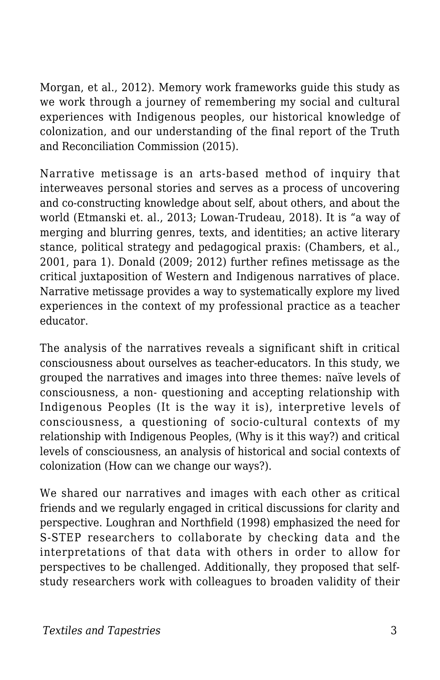Morgan, et al., 2012). Memory work frameworks guide this study as we work through a journey of remembering my social and cultural experiences with Indigenous peoples, our historical knowledge of colonization, and our understanding of the final report of the Truth and Reconciliation Commission (2015).

Narrative metissage is an arts-based method of inquiry that interweaves personal stories and serves as a process of uncovering and co-constructing knowledge about self, about others, and about the world (Etmanski et. al., 2013; Lowan-Trudeau, 2018). It is "a way of merging and blurring genres, texts, and identities; an active literary stance, political strategy and pedagogical praxis: (Chambers, et al., 2001, para 1). Donald (2009; 2012) further refines metissage as the critical juxtaposition of Western and Indigenous narratives of place. Narrative metissage provides a way to systematically explore my lived experiences in the context of my professional practice as a teacher educator.

The analysis of the narratives reveals a significant shift in critical consciousness about ourselves as teacher-educators. In this study, we grouped the narratives and images into three themes: naïve levels of consciousness, a non- questioning and accepting relationship with Indigenous Peoples (It is the way it is), interpretive levels of consciousness, a questioning of socio-cultural contexts of my relationship with Indigenous Peoples, (Why is it this way?) and critical levels of consciousness, an analysis of historical and social contexts of colonization (How can we change our ways?).

We shared our narratives and images with each other as critical friends and we regularly engaged in critical discussions for clarity and perspective. Loughran and Northfield (1998) emphasized the need for S-STEP researchers to collaborate by checking data and the interpretations of that data with others in order to allow for perspectives to be challenged. Additionally, they proposed that selfstudy researchers work with colleagues to broaden validity of their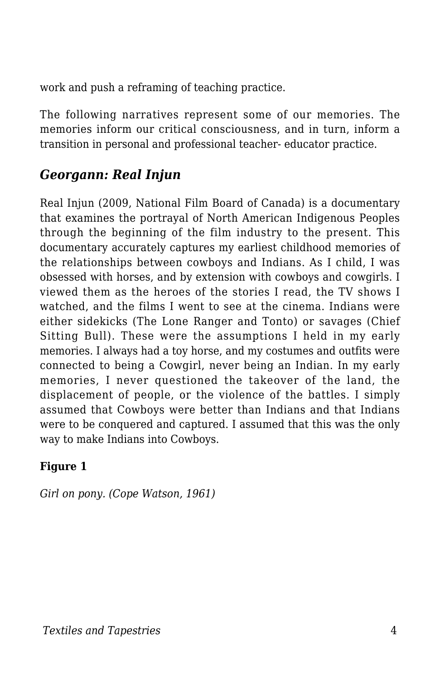work and push a reframing of teaching practice.

The following narratives represent some of our memories. The memories inform our critical consciousness, and in turn, inform a transition in personal and professional teacher- educator practice.

### *Georgann: Real Injun*

Real Injun (2009, National Film Board of Canada) is a documentary that examines the portrayal of North American Indigenous Peoples through the beginning of the film industry to the present. This documentary accurately captures my earliest childhood memories of the relationships between cowboys and Indians. As I child, I was obsessed with horses, and by extension with cowboys and cowgirls. I viewed them as the heroes of the stories I read, the TV shows I watched, and the films I went to see at the cinema. Indians were either sidekicks (The Lone Ranger and Tonto) or savages (Chief Sitting Bull). These were the assumptions I held in my early memories. I always had a toy horse, and my costumes and outfits were connected to being a Cowgirl, never being an Indian. In my early memories, I never questioned the takeover of the land, the displacement of people, or the violence of the battles. I simply assumed that Cowboys were better than Indians and that Indians were to be conquered and captured. I assumed that this was the only way to make Indians into Cowboys.

#### **Figure 1**

*Girl on pony. (Cope Watson, 1961)*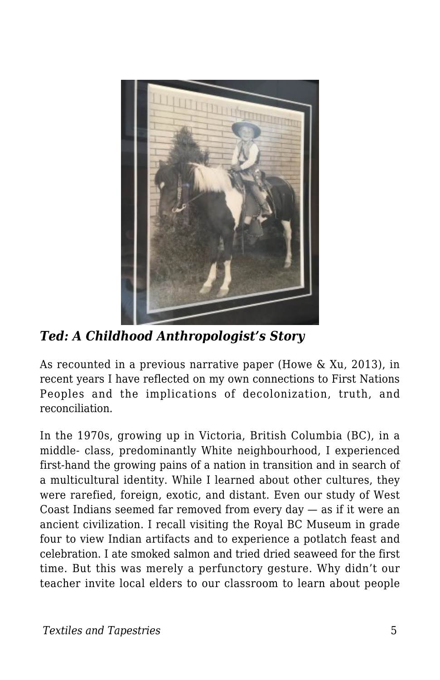

*Ted: A Childhood Anthropologist's Story*

As recounted in a previous narrative paper (Howe & Xu, 2013), in recent years I have reflected on my own connections to First Nations Peoples and the implications of decolonization, truth, and reconciliation.

In the 1970s, growing up in Victoria, British Columbia (BC), in a middle- class, predominantly White neighbourhood, I experienced first-hand the growing pains of a nation in transition and in search of a multicultural identity. While I learned about other cultures, they were rarefied, foreign, exotic, and distant. Even our study of West Coast Indians seemed far removed from every day — as if it were an ancient civilization. I recall visiting the Royal BC Museum in grade four to view Indian artifacts and to experience a potlatch feast and celebration. I ate smoked salmon and tried dried seaweed for the first time. But this was merely a perfunctory gesture. Why didn't our teacher invite local elders to our classroom to learn about people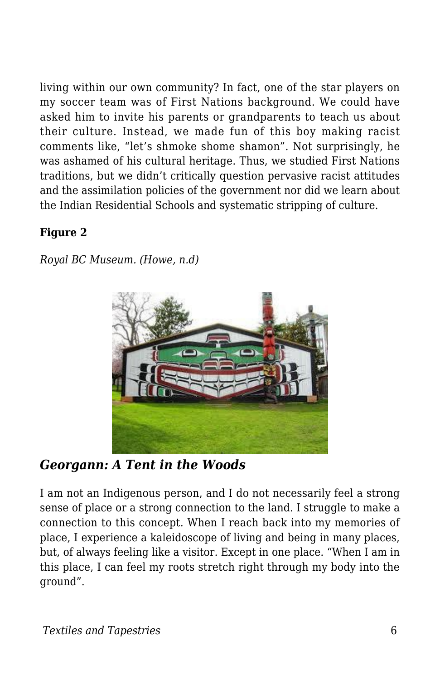living within our own community? In fact, one of the star players on my soccer team was of First Nations background. We could have asked him to invite his parents or grandparents to teach us about their culture. Instead, we made fun of this boy making racist comments like, "let's shmoke shome shamon". Not surprisingly, he was ashamed of his cultural heritage. Thus, we studied First Nations traditions, but we didn't critically question pervasive racist attitudes and the assimilation policies of the government nor did we learn about the Indian Residential Schools and systematic stripping of culture.

#### **Figure 2**

*Royal BC Museum. (Howe, n.d)*



### *Georgann: A Tent in the Woods*

I am not an Indigenous person, and I do not necessarily feel a strong sense of place or a strong connection to the land. I struggle to make a connection to this concept. When I reach back into my memories of place, I experience a kaleidoscope of living and being in many places, but, of always feeling like a visitor. Except in one place. "When I am in this place, I can feel my roots stretch right through my body into the ground".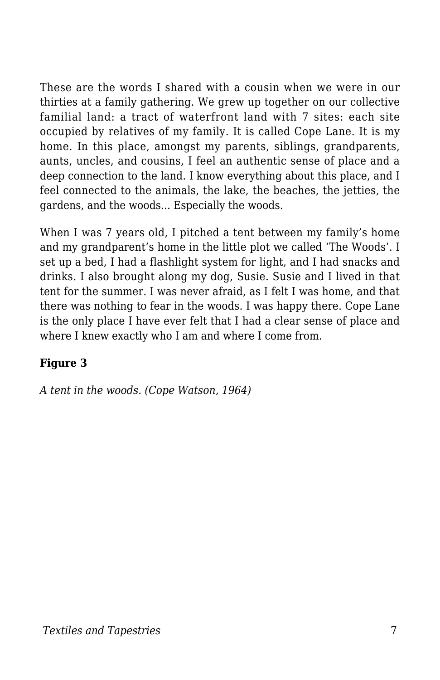These are the words I shared with a cousin when we were in our thirties at a family gathering. We grew up together on our collective familial land: a tract of waterfront land with 7 sites: each site occupied by relatives of my family. It is called Cope Lane. It is my home. In this place, amongst my parents, siblings, grandparents, aunts, uncles, and cousins, I feel an authentic sense of place and a deep connection to the land. I know everything about this place, and I feel connected to the animals, the lake, the beaches, the jetties, the gardens, and the woods... Especially the woods.

When I was 7 years old, I pitched a tent between my family's home and my grandparent's home in the little plot we called 'The Woods'. I set up a bed, I had a flashlight system for light, and I had snacks and drinks. I also brought along my dog, Susie. Susie and I lived in that tent for the summer. I was never afraid, as I felt I was home, and that there was nothing to fear in the woods. I was happy there. Cope Lane is the only place I have ever felt that I had a clear sense of place and where I knew exactly who I am and where I come from.

#### **Figure 3**

*A tent in the woods. (Cope Watson, 1964)*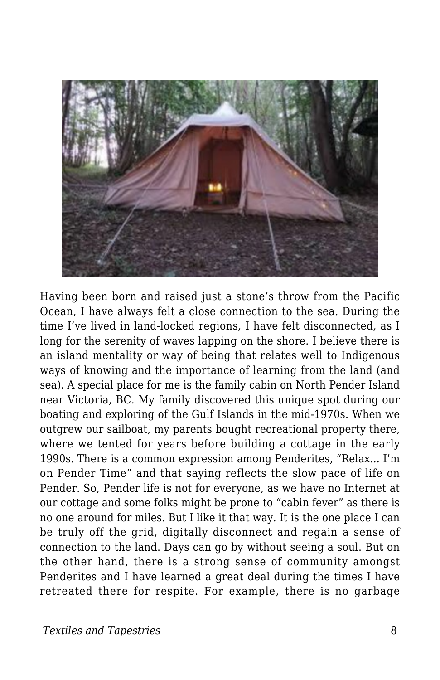

Having been born and raised just a stone's throw from the Pacific Ocean, I have always felt a close connection to the sea. During the time I've lived in land-locked regions, I have felt disconnected, as I long for the serenity of waves lapping on the shore. I believe there is an island mentality or way of being that relates well to Indigenous ways of knowing and the importance of learning from the land (and sea). A special place for me is the family cabin on North Pender Island near Victoria, BC. My family discovered this unique spot during our boating and exploring of the Gulf Islands in the mid-1970s. When we outgrew our sailboat, my parents bought recreational property there, where we tented for years before building a cottage in the early 1990s. There is a common expression among Penderites, "Relax... I'm on Pender Time" and that saying reflects the slow pace of life on Pender. So, Pender life is not for everyone, as we have no Internet at our cottage and some folks might be prone to "cabin fever" as there is no one around for miles. But I like it that way. It is the one place I can be truly off the grid, digitally disconnect and regain a sense of connection to the land. Days can go by without seeing a soul. But on the other hand, there is a strong sense of community amongst Penderites and I have learned a great deal during the times I have retreated there for respite. For example, there is no garbage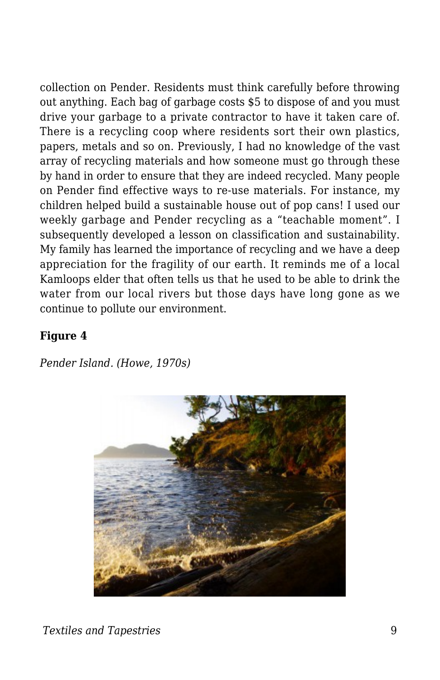collection on Pender. Residents must think carefully before throwing out anything. Each bag of garbage costs \$5 to dispose of and you must drive your garbage to a private contractor to have it taken care of. There is a recycling coop where residents sort their own plastics, papers, metals and so on. Previously, I had no knowledge of the vast array of recycling materials and how someone must go through these by hand in order to ensure that they are indeed recycled. Many people on Pender find effective ways to re-use materials. For instance, my children helped build a sustainable house out of pop cans! I used our weekly garbage and Pender recycling as a "teachable moment". I subsequently developed a lesson on classification and sustainability. My family has learned the importance of recycling and we have a deep appreciation for the fragility of our earth. It reminds me of a local Kamloops elder that often tells us that he used to be able to drink the water from our local rivers but those days have long gone as we continue to pollute our environment.

#### **Figure 4**

*Pender Island. (Howe, 1970s)*

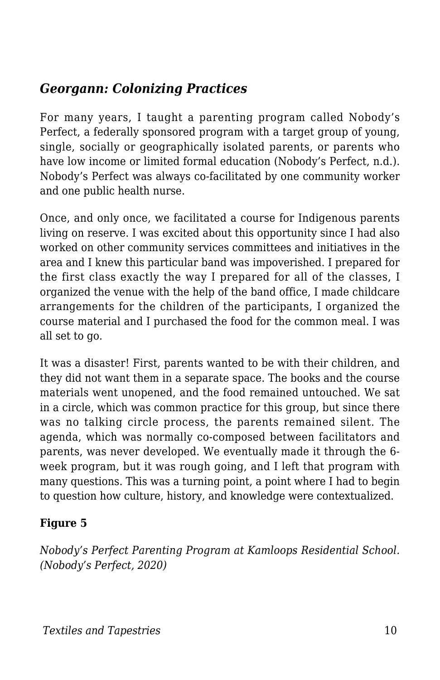## *Georgann: Colonizing Practices*

For many years, I taught a parenting program called Nobody's Perfect, a federally sponsored program with a target group of young, single, socially or geographically isolated parents, or parents who have low income or limited formal education (Nobody's Perfect, n.d.). Nobody's Perfect was always co-facilitated by one community worker and one public health nurse.

Once, and only once, we facilitated a course for Indigenous parents living on reserve. I was excited about this opportunity since I had also worked on other community services committees and initiatives in the area and I knew this particular band was impoverished. I prepared for the first class exactly the way I prepared for all of the classes, I organized the venue with the help of the band office, I made childcare arrangements for the children of the participants, I organized the course material and I purchased the food for the common meal. I was all set to go.

It was a disaster! First, parents wanted to be with their children, and they did not want them in a separate space. The books and the course materials went unopened, and the food remained untouched. We sat in a circle, which was common practice for this group, but since there was no talking circle process, the parents remained silent. The agenda, which was normally co-composed between facilitators and parents, was never developed. We eventually made it through the 6 week program, but it was rough going, and I left that program with many questions. This was a turning point, a point where I had to begin to question how culture, history, and knowledge were contextualized.

### **Figure 5**

*Nobody's Perfect Parenting Program at Kamloops Residential School. (Nobody's Perfect, 2020)*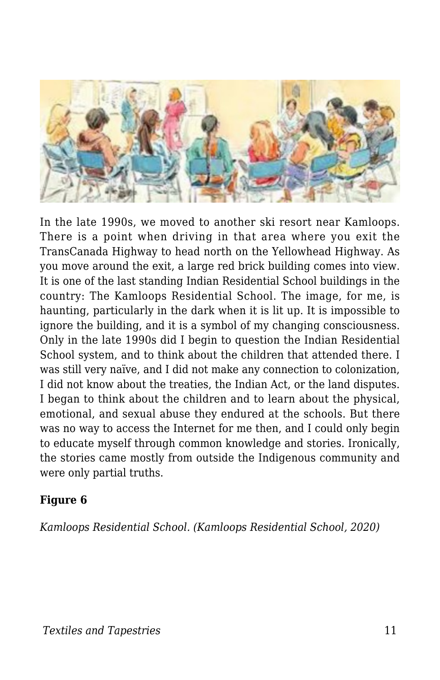

In the late 1990s, we moved to another ski resort near Kamloops. There is a point when driving in that area where you exit the TransCanada Highway to head north on the Yellowhead Highway. As you move around the exit, a large red brick building comes into view. It is one of the last standing Indian Residential School buildings in the country: The Kamloops Residential School. The image, for me, is haunting, particularly in the dark when it is lit up. It is impossible to ignore the building, and it is a symbol of my changing consciousness. Only in the late 1990s did I begin to question the Indian Residential School system, and to think about the children that attended there. I was still very naïve, and I did not make any connection to colonization, I did not know about the treaties, the Indian Act, or the land disputes. I began to think about the children and to learn about the physical, emotional, and sexual abuse they endured at the schools. But there was no way to access the Internet for me then, and I could only begin to educate myself through common knowledge and stories. Ironically, the stories came mostly from outside the Indigenous community and were only partial truths.

#### **Figure 6**

*Kamloops Residential School. (Kamloops Residential School, 2020)*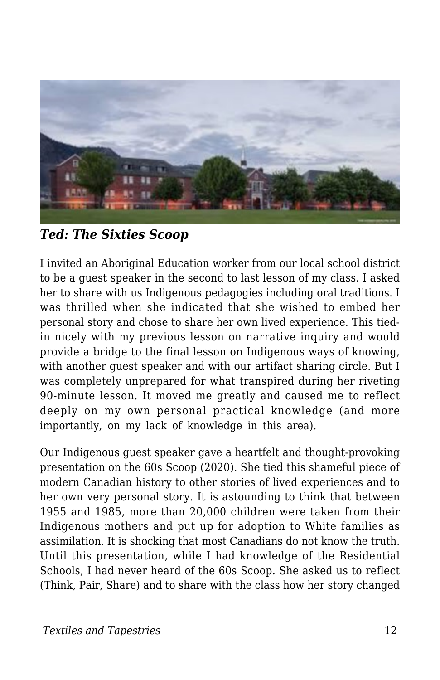

*Ted: The Sixties Scoop*

I invited an Aboriginal Education worker from our local school district to be a guest speaker in the second to last lesson of my class. I asked her to share with us Indigenous pedagogies including oral traditions. I was thrilled when she indicated that she wished to embed her personal story and chose to share her own lived experience. This tiedin nicely with my previous lesson on narrative inquiry and would provide a bridge to the final lesson on Indigenous ways of knowing, with another guest speaker and with our artifact sharing circle. But I was completely unprepared for what transpired during her riveting 90-minute lesson. It moved me greatly and caused me to reflect deeply on my own personal practical knowledge (and more importantly, on my lack of knowledge in this area).

Our Indigenous guest speaker gave a heartfelt and thought-provoking presentation on the 60s Scoop (2020). She tied this shameful piece of modern Canadian history to other stories of lived experiences and to her own very personal story. It is astounding to think that between 1955 and 1985, more than 20,000 children were taken from their Indigenous mothers and put up for adoption to White families as assimilation. It is shocking that most Canadians do not know the truth. Until this presentation, while I had knowledge of the Residential Schools, I had never heard of the 60s Scoop. She asked us to reflect (Think, Pair, Share) and to share with the class how her story changed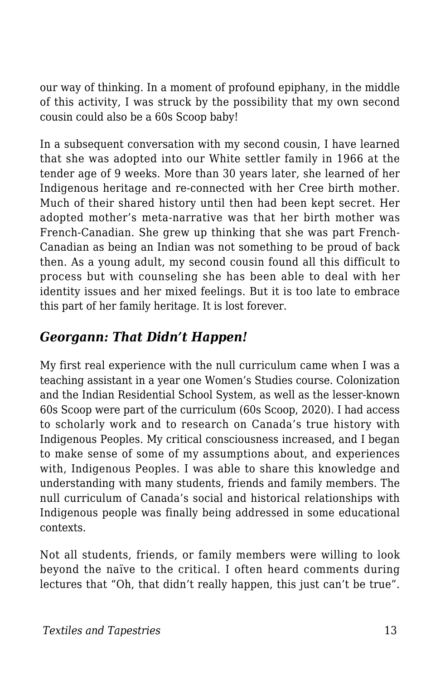our way of thinking. In a moment of profound epiphany, in the middle of this activity, I was struck by the possibility that my own second cousin could also be a 60s Scoop baby!

In a subsequent conversation with my second cousin, I have learned that she was adopted into our White settler family in 1966 at the tender age of 9 weeks. More than 30 years later, she learned of her Indigenous heritage and re-connected with her Cree birth mother. Much of their shared history until then had been kept secret. Her adopted mother's meta-narrative was that her birth mother was French-Canadian. She grew up thinking that she was part French-Canadian as being an Indian was not something to be proud of back then. As a young adult, my second cousin found all this difficult to process but with counseling she has been able to deal with her identity issues and her mixed feelings. But it is too late to embrace this part of her family heritage. It is lost forever.

## *Georgann: That Didn't Happen!*

My first real experience with the null curriculum came when I was a teaching assistant in a year one Women's Studies course. Colonization and the Indian Residential School System, as well as the lesser-known 60s Scoop were part of the curriculum (60s Scoop, 2020). I had access to scholarly work and to research on Canada's true history with Indigenous Peoples. My critical consciousness increased, and I began to make sense of some of my assumptions about, and experiences with, Indigenous Peoples. I was able to share this knowledge and understanding with many students, friends and family members. The null curriculum of Canada's social and historical relationships with Indigenous people was finally being addressed in some educational contexts.

Not all students, friends, or family members were willing to look beyond the naïve to the critical. I often heard comments during lectures that "Oh, that didn't really happen, this just can't be true".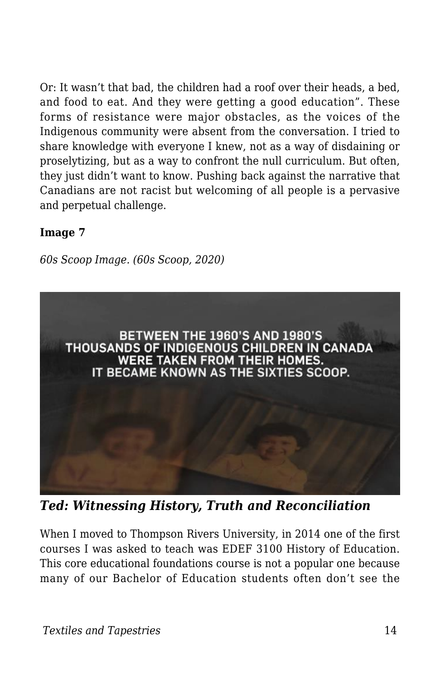Or: It wasn't that bad, the children had a roof over their heads, a bed, and food to eat. And they were getting a good education". These forms of resistance were major obstacles, as the voices of the Indigenous community were absent from the conversation. I tried to share knowledge with everyone I knew, not as a way of disdaining or proselytizing, but as a way to confront the null curriculum. But often, they just didn't want to know. Pushing back against the narrative that Canadians are not racist but welcoming of all people is a pervasive and perpetual challenge.

#### **Image 7**

*60s Scoop Image. (60s Scoop, 2020)*



*Ted: Witnessing History, Truth and Reconciliation*

When I moved to Thompson Rivers University, in 2014 one of the first courses I was asked to teach was EDEF 3100 History of Education. This core educational foundations course is not a popular one because many of our Bachelor of Education students often don't see the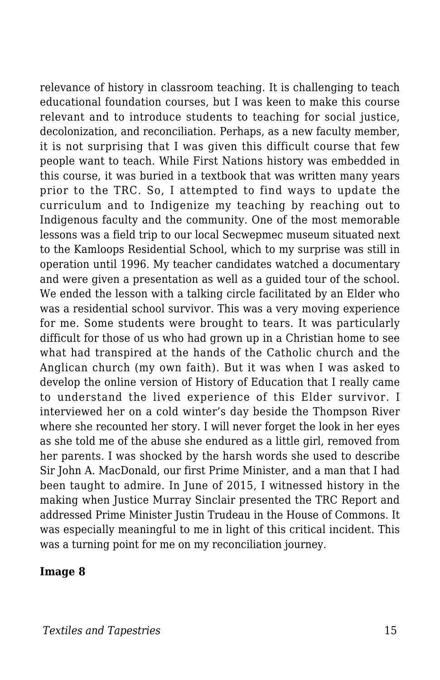relevance of history in classroom teaching. It is challenging to teach educational foundation courses, but I was keen to make this course relevant and to introduce students to teaching for social justice, decolonization, and reconciliation. Perhaps, as a new faculty member, it is not surprising that I was given this difficult course that few people want to teach. While First Nations history was embedded in this course, it was buried in a textbook that was written many years prior to the TRC. So, I attempted to find ways to update the curriculum and to Indigenize my teaching by reaching out to Indigenous faculty and the community. One of the most memorable lessons was a field trip to our local Secwepmec museum situated next to the Kamloops Residential School, which to my surprise was still in operation until 1996. My teacher candidates watched a documentary and were given a presentation as well as a guided tour of the school. We ended the lesson with a talking circle facilitated by an Elder who was a residential school survivor. This was a very moving experience for me. Some students were brought to tears. It was particularly difficult for those of us who had grown up in a Christian home to see what had transpired at the hands of the Catholic church and the Anglican church (my own faith). But it was when I was asked to develop the online version of History of Education that I really came to understand the lived experience of this Elder survivor. I interviewed her on a cold winter's day beside the Thompson River where she recounted her story. I will never forget the look in her eyes as she told me of the abuse she endured as a little girl, removed from her parents. I was shocked by the harsh words she used to describe Sir John A. MacDonald, our first Prime Minister, and a man that I had been taught to admire. In June of 2015, I witnessed history in the making when Justice Murray Sinclair presented the TRC Report and addressed Prime Minister Justin Trudeau in the House of Commons. It was especially meaningful to me in light of this critical incident. This was a turning point for me on my reconciliation journey.

#### **Image 8**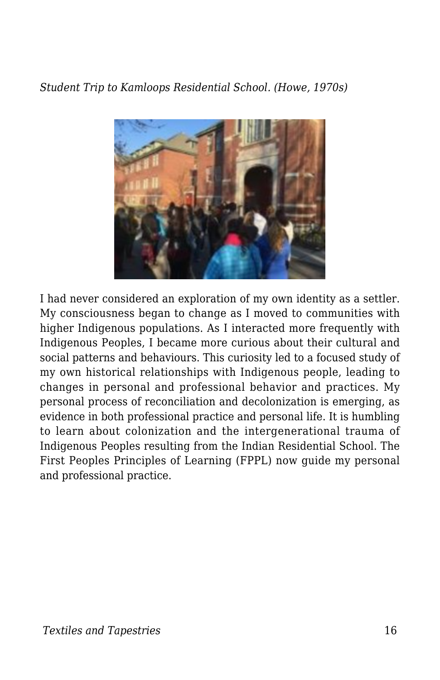*Student Trip to Kamloops Residential School. (Howe, 1970s)*



I had never considered an exploration of my own identity as a settler. My consciousness began to change as I moved to communities with higher Indigenous populations. As I interacted more frequently with Indigenous Peoples, I became more curious about their cultural and social patterns and behaviours. This curiosity led to a focused study of my own historical relationships with Indigenous people, leading to changes in personal and professional behavior and practices. My personal process of reconciliation and decolonization is emerging, as evidence in both professional practice and personal life. It is humbling to learn about colonization and the intergenerational trauma of Indigenous Peoples resulting from the Indian Residential School. The First Peoples Principles of Learning (FPPL) now guide my personal and professional practice.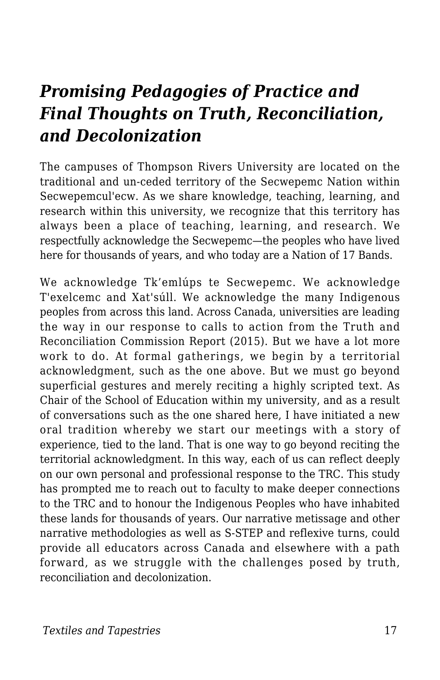## *Promising Pedagogies of Practice and Final Thoughts on Truth, Reconciliation, and Decolonization*

The campuses of Thompson Rivers University are located on the traditional and un-ceded territory of the Secwepemc Nation within Secwepemcul'ecw. As we share knowledge, teaching, learning, and research within this university, we recognize that this territory has always been a place of teaching, learning, and research. We respectfully acknowledge the Secwepemc—the peoples who have lived here for thousands of years, and who today are a Nation of 17 Bands.

We acknowledge Tk'emlúps te Secwepemc. We acknowledge T'exelcemc and Xat'súll. We acknowledge the many Indigenous peoples from across this land. Across Canada, universities are leading the way in our response to calls to action from the Truth and Reconciliation Commission Report (2015). But we have a lot more work to do. At formal gatherings, we begin by a territorial acknowledgment, such as the one above. But we must go beyond superficial gestures and merely reciting a highly scripted text. As Chair of the School of Education within my university, and as a result of conversations such as the one shared here, I have initiated a new oral tradition whereby we start our meetings with a story of experience, tied to the land. That is one way to go beyond reciting the territorial acknowledgment. In this way, each of us can reflect deeply on our own personal and professional response to the TRC. This study has prompted me to reach out to faculty to make deeper connections to the TRC and to honour the Indigenous Peoples who have inhabited these lands for thousands of years. Our narrative metissage and other narrative methodologies as well as S-STEP and reflexive turns, could provide all educators across Canada and elsewhere with a path forward, as we struggle with the challenges posed by truth, reconciliation and decolonization.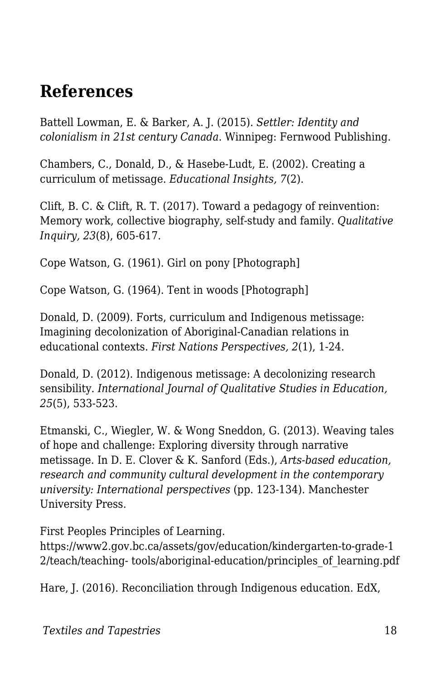## **References**

Battell Lowman, E. & Barker, A. J. (2015). *Settler: Identity and colonialism in 21st century Canada*. Winnipeg: Fernwood Publishing.

Chambers, C., Donald, D., & Hasebe-Ludt, E. (2002). Creating a curriculum of metissage. *Educational Insights, 7*(2).

Clift, B. C. & Clift, R. T. (2017). Toward a pedagogy of reinvention: Memory work, collective biography, self-study and family. *Qualitative Inquiry, 23*(8), 605-617.

Cope Watson, G. (1961). Girl on pony [Photograph]

Cope Watson, G. (1964). Tent in woods [Photograph]

Donald, D. (2009). Forts, curriculum and Indigenous metissage: Imagining decolonization of Aboriginal-Canadian relations in educational contexts. *First Nations Perspectives, 2*(1), 1-24.

Donald, D. (2012). Indigenous metissage: A decolonizing research sensibility. *International Journal of Qualitative Studies in Education, 25*(5), 533-523.

Etmanski, C., Wiegler, W. & Wong Sneddon, G. (2013). Weaving tales of hope and challenge: Exploring diversity through narrative metissage. In D. E. Clover & K. Sanford (Eds.), *Arts-based education, research and community cultural development in the contemporary university: International perspectives* (pp. 123-134). Manchester University Press.

First Peoples Principles of Learning.

https://www2.gov.bc.ca/assets/gov/education/kindergarten-to-grade-1 2/teach/teaching- tools/aboriginal-education/principles\_of\_learning.pdf

Hare, J. (2016). Reconciliation through Indigenous education. EdX,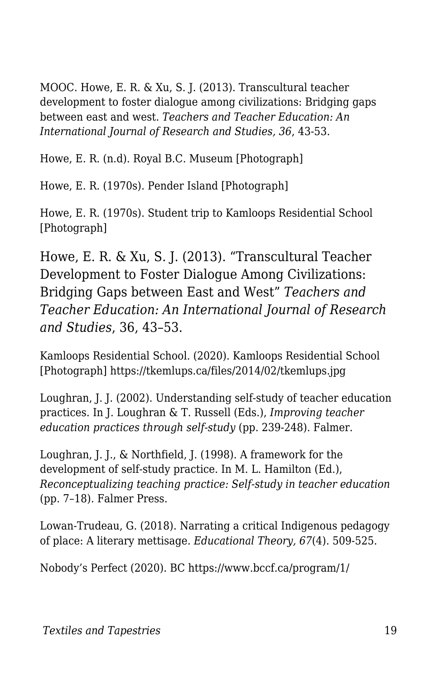MOOC. Howe, E. R. & Xu, S. J. (2013). Transcultural teacher development to foster dialogue among civilizations: Bridging gaps between east and west. *Teachers and Teacher Education: An International Journal of Research and Studies, 36*, 43-53.

Howe, E. R. (n.d). Royal B.C. Museum [Photograph]

Howe, E. R. (1970s). Pender Island [Photograph]

Howe, E. R. (1970s). Student trip to Kamloops Residential School [Photograph]

Howe, E. R. & Xu, S. J. (2013). "Transcultural Teacher Development to Foster Dialogue Among Civilizations: Bridging Gaps between East and West" *Teachers and Teacher Education: An International Journal of Research and Studies*, 36, 43–53.

Kamloops Residential School. (2020). Kamloops Residential School [Photograph] https://tkemlups.ca/files/2014/02/tkemlups.jpg

Loughran, J. J. (2002). Understanding self-study of teacher education practices. In J. Loughran & T. Russell (Eds.), *Improving teacher education practices through self-study* (pp. 239-248). Falmer.

Loughran, J. J., & Northfield, J. (1998). A framework for the development of self-study practice. In M. L. Hamilton (Ed.), *Reconceptualizing teaching practice: Self-study in teacher education* (pp. 7–18). Falmer Press.

Lowan-Trudeau, G. (2018). Narrating a critical Indigenous pedagogy of place: A literary mettisage. *Educational Theory, 67*(4). 509-525.

Nobody's Perfect (2020). BC https://www.bccf.ca/program/1/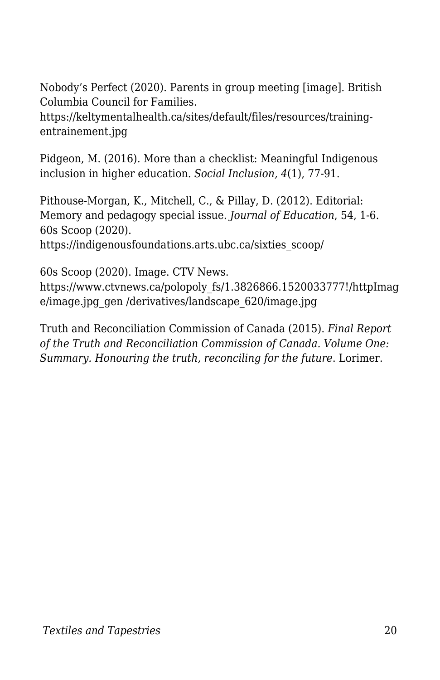Nobody's Perfect (2020). Parents in group meeting [image]. British Columbia Council for Families.

https://keltymentalhealth.ca/sites/default/files/resources/trainingentrainement.jpg

Pidgeon, M. (2016). More than a checklist: Meaningful Indigenous inclusion in higher education. *Social Inclusion, 4*(1), 77-91.

Pithouse-Morgan, K., Mitchell, C., & Pillay, D. (2012). Editorial: Memory and pedagogy special issue. *Journal of Education*, 54, 1-6. 60s Scoop (2020).

https://indigenousfoundations.arts.ubc.ca/sixties\_scoop/

60s Scoop (2020). Image. CTV News.

https://www.ctvnews.ca/polopoly\_fs/1.3826866.1520033777!/httpImag e/image.jpg\_gen /derivatives/landscape\_620/image.jpg

Truth and Reconciliation Commission of Canada (2015). *Final Report of the Truth and Reconciliation Commission of Canada. Volume One: Summary. Honouring the truth, reconciling for the future*. Lorimer.